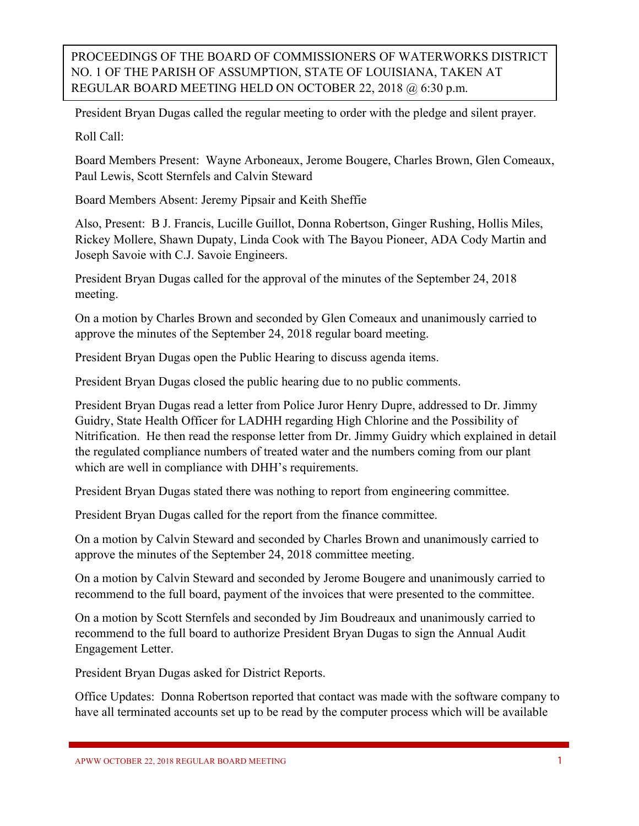PROCEEDINGS OF THE BOARD OF COMMISSIONERS OF WATERWORKS DISTRICT NO. 1 OF THE PARISH OF ASSUMPTION, STATE OF LOUISIANA, TAKEN AT REGULAR BOARD MEETING HELD ON OCTOBER 22, 2018 @ 6:30 p.m.

President Bryan Dugas called the regular meeting to order with the pledge and silent prayer.

Roll Call:

Board Members Present: Wayne Arboneaux, Jerome Bougere, Charles Brown, Glen Comeaux, Paul Lewis, Scott Sternfels and Calvin Steward

Board Members Absent: Jeremy Pipsair and Keith Sheffie

Also, Present: B J. Francis, Lucille Guillot, Donna Robertson, Ginger Rushing, Hollis Miles, Rickey Mollere, Shawn Dupaty, Linda Cook with The Bayou Pioneer, ADA Cody Martin and Joseph Savoie with C.J. Savoie Engineers.

President Bryan Dugas called for the approval of the minutes of the September 24, 2018 meeting.

On a motion by Charles Brown and seconded by Glen Comeaux and unanimously carried to approve the minutes of the September 24, 2018 regular board meeting.

President Bryan Dugas open the Public Hearing to discuss agenda items.

President Bryan Dugas closed the public hearing due to no public comments.

President Bryan Dugas read a letter from Police Juror Henry Dupre, addressed to Dr. Jimmy Guidry, State Health Officer for LADHH regarding High Chlorine and the Possibility of Nitrification. He then read the response letter from Dr. Jimmy Guidry which explained in detail the regulated compliance numbers of treated water and the numbers coming from our plant which are well in compliance with DHH's requirements.

President Bryan Dugas stated there was nothing to report from engineering committee.

President Bryan Dugas called for the report from the finance committee.

On a motion by Calvin Steward and seconded by Charles Brown and unanimously carried to approve the minutes of the September 24, 2018 committee meeting.

On a motion by Calvin Steward and seconded by Jerome Bougere and unanimously carried to recommend to the full board, payment of the invoices that were presented to the committee.

On a motion by Scott Sternfels and seconded by Jim Boudreaux and unanimously carried to recommend to the full board to authorize President Bryan Dugas to sign the Annual Audit Engagement Letter.

President Bryan Dugas asked for District Reports.

Office Updates: Donna Robertson reported that contact was made with the software company to have all terminated accounts set up to be read by the computer process which will be available